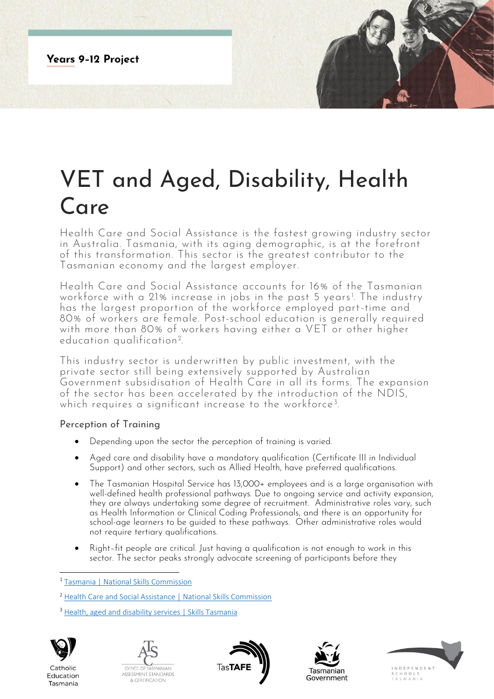**Years 9-12 Project** 

## VET and Aged, Disability, Health Care

Health Care and Social Assistance is the fastest growing industry sector in Australia. Tasmania, with its aging demographic, is at the forefront of this transformation. This sector is the greatest contributor to the Tasmanian economy and the largest employer.

Health Care and Social Assistance accounts for 16% of the Tasmanian workforce with a 21% increase in jobs in the past 5 years<sup>1</sup>. The industry has the largest proportion of the workforce employed part-time and 80% of workers are female. Post-school education is generally required with more than 80% of workers having either a VET or other higher education qualification<sup>2</sup>. .

This industry sector is underwritten by public investment, with the private sector still being extensively supported by Australian Government subsidisation of Health Care in all its forms. The expansion of the sector has been accelerated by the introduction of the NDIS, which requires a significant increase to the workforce<sup>3</sup>. .

## Perception of Training

- Depending upon the sector the perception of training is varied.
- Aged care and disability have a mandatory qualification (Certificate III in Individual Support) and other sectors, such as Allied Health, have preferred qualifications.
- The Tasmanian Hospital Service has 13,000+ employees and is a large organisation with well-defined health professional pathways. Due to ongoing service and activity expansion, they are always undertaking some degree of recruitment. Administrative roles vary, such as Health Information or Clinical Coding Professionals, and there is an opportunity for school-age learners to be guided to these pathways. Other administrative roles would not require tertiary qualifications.
- Right–fit people are critical. Just having a qualification is not enough to work in this sector. The sector peaks strongly advocate screening of participants before they

<sup>&</sup>lt;sup>3</sup> [Health, aged and disability services | Skills Tasmania](https://www.skills.tas.gov.au/about/the_tasmanian_workforce/industry_information_and_profiles/health,_aged_and_disability_services)



Catholic

Education

Tasmania









<sup>1</sup> [Tasmania | National Skills Commission](https://www.nationalskillscommission.gov.au/tasmania-0)

<sup>2</sup> [Health Care and Social Assistance | National Skills Commission](https://www.nationalskillscommission.gov.au/health-care-and-social-assistance-0)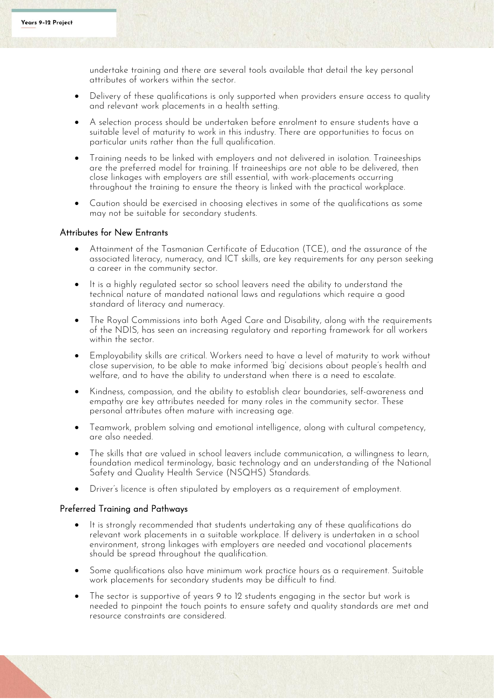undertake training and there are several tools available that detail the key personal attributes of workers within the sector.

- Delivery of these qualifications is only supported when providers ensure access to quality and relevant work placements in a health setting.
- A selection process should be undertaken before enrolment to ensure students have a suitable level of maturity to work in this industry. There are opportunities to focus on particular units rather than the full qualification.
- Training needs to be linked with employers and not delivered in isolation. Traineeships are the preferred model for training. If traineeships are not able to be delivered, then close linkages with employers are still essential, with work-placements occurring throughout the training to ensure the theory is linked with the practical workplace.
- Caution should be exercised in choosing electives in some of the qualifications as some may not be suitable for secondary students.

## Attributes for New Entrants

- Attainment of the Tasmanian Certificate of Education (TCE), and the assurance of the associated literacy, numeracy, and ICT skills, are key requirements for any person seeking a career in the community sector.
- It is a highly regulated sector so school leavers need the ability to understand the technical nature of mandated national laws and regulations which require a good standard of literacy and numeracy.
- The Royal Commissions into both Aged Care and Disability, along with the requirements of the NDIS, has seen an increasing regulatory and reporting framework for all workers within the sector.
- Employability skills are critical. Workers need to have a level of maturity to work without close supervision, to be able to make informed 'big' decisions about people's health and welfare, and to have the ability to understand when there is a need to escalate.
- Kindness, compassion, and the ability to establish clear boundaries, self-awareness and empathy are key attributes needed for many roles in the community sector. These personal attributes often mature with increasing age.
- Teamwork, problem solving and emotional intelligence, along with cultural competency, are also needed.
- The skills that are valued in school leavers include communication, a willingness to learn, foundation medical terminology, basic technology and an understanding of the National Safety and Quality Health Service (NSQHS) Standards.
- Driver's licence is often stipulated by employers as a requirement of employment.

## Preferred Training and Pathways

- It is strongly recommended that students undertaking any of these qualifications do relevant work placements in a suitable workplace. If delivery is undertaken in a school environment, strong linkages with employers are needed and vocational placements should be spread throughout the qualification.
- Some qualifications also have minimum work practice hours as a requirement. Suitable work placements for secondary students may be difficult to find.
- The sector is supportive of years 9 to 12 students engaging in the sector but work is needed to pinpoint the touch points to ensure safety and quality standards are met and resource constraints are considered.